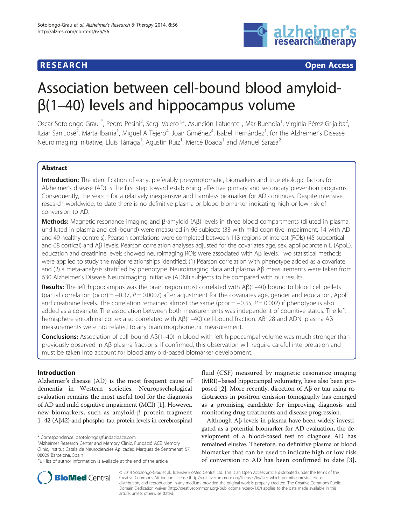# **RESEARCH CHEAR CHEAR CHEAR CHEAR CHEAR CHEAR CHEAR CHEAR CHEAR CHEAR CHEAR CHEAR CHEAR CHEAR CHEAR CHEAR CHEAR**



# Association between cell-bound blood amyloidβ(1–40) levels and hippocampus volume

Oscar Sotolongo-Grau<sup>1\*</sup>, Pedro Pesini<sup>2</sup>, Sergi Valero<sup>1,3</sup>, Asunción Lafuente<sup>1</sup>, Mar Buendía<sup>1</sup>, Virginia Pérez-Grijalba<sup>2</sup> , Itziar San José<sup>2</sup>, Marta Ibarria<sup>1</sup>, Miguel A Tejero<sup>4</sup>, Joan Giménez<sup>4</sup>, Isabel Hernández<sup>1</sup>, for the Alzheimer's Disease Neuroimaging Initiative, Lluís Tárraga<sup>1</sup>, Agustín Ruiz<sup>1</sup>, Mercé Boada<sup>1</sup> and Manuel Sarasa<sup>2</sup>

# Abstract

Introduction: The identification of early, preferably presymptomatic, biomarkers and true etiologic factors for Alzheimer's disease (AD) is the first step toward establishing effective primary and secondary prevention programs. Consequently, the search for a relatively inexpensive and harmless biomarker for AD continues. Despite intensive research worldwide, to date there is no definitive plasma or blood biomarker indicating high or low risk of conversion to AD.

Methods: Magnetic resonance imaging and β-amyloid (Aβ) levels in three blood compartments (diluted in plasma, undiluted in plasma and cell-bound) were measured in 96 subjects (33 with mild cognitive impairment, 14 with AD and 49 healthy controls). Pearson correlations were completed between 113 regions of interest (ROIs) (45 subcortical and 68 cortical) and Aβ levels. Pearson correlation analyses adjusted for the covariates age, sex, apolipoprotein E (ApoE), education and creatinine levels showed neuroimaging ROIs were associated with Aβ levels. Two statistical methods were applied to study the major relationships identified: (1) Pearson correlation with phenotype added as a covariate and (2) a meta-analysis stratified by phenotype. Neuroimaging data and plasma Aβ measurements were taken from 630 Alzheimer's Disease Neuroimaging Initiative (ADNI) subjects to be compared with our results.

Results: The left hippocampus was the brain region most correlated with  $\text{AG}(1-40)$  bound to blood cell pellets (partial correlation (pcor) =  $-0.37$ ,  $P = 0.0007$ ) after adjustment for the covariates age, gender and education, ApoE and creatinine levels. The correlation remained almost the same (pcor =  $-0.35$ ,  $P = 0.002$ ) if phenotype is also added as a covariate. The association between both measurements was independent of cognitive status. The left hemisphere entorhinal cortex also correlated with Aβ(1–40) cell-bound fraction. AB128 and ADNI plasma Aβ measurements were not related to any brain morphometric measurement.

**Conclusions:** Association of cell-bound  $\mathsf{AG}(1-40)$  in blood with left hippocampal volume was much stronger than previously observed in Aβ plasma fractions. If confirmed, this observation will require careful interpretation and must be taken into account for blood amyloid-based biomarker development.

# Introduction

Alzheimer's disease (AD) is the most frequent cause of dementia in Western societies. Neuropsychological evaluation remains the most useful tool for the diagnosis of AD and mild cognitive impairment (MCI) [[1](#page-5-0)]. However, new biomarkers, such as amyloid-β protein fragment 1–42 (Aβ42) and phospho-tau protein levels in cerebrospinal

\* Correspondence: [osotolongo@fundacioace.com](mailto:osotolongo@fundacioace.com) <sup>1</sup>

fluid (CSF) measured by magnetic resonance imaging (MRI)–based hippocampal volumetry, have also been proposed [\[2](#page-5-0)]. More recently, direction of Aβ or tau using radiotracers in positron emission tomography has emerged as a promising candidate for improving diagnosis and monitoring drug treatments and disease progression.

Although Aβ levels in plasma have been widely investigated as a potential biomarker for AD evaluation, the development of a blood-based test to diagnose AD has remained elusive. Therefore, no definitive plasma or blood biomarker that can be used to indicate high or low risk of conversion to AD has been confirmed to date [[3](#page-5-0)].



© 2014 Sotolongo-Grau et al.; licensee BioMed Central Ltd. This is an Open Access article distributed under the terms of the Creative Commons Attribution License (<http://creativecommons.org/licenses/by/4.0>), which permits unrestricted use, distribution, and reproduction in any medium, provided the original work is properly credited. The Creative Commons Public Domain Dedication waiver [\(http://creativecommons.org/publicdomain/zero/1.0/\)](http://creativecommons.org/publicdomain/zero/1.0/) applies to the data made available in this article, unless otherwise stated.

Alzheimer Research Center and Memory Clinic, Fundació ACE Memory Clinic, Institut Català de Neurociències Aplicades, Marquès de Sentmenat, 57, 08029 Barcelona, Spain

Full list of author information is available at the end of the article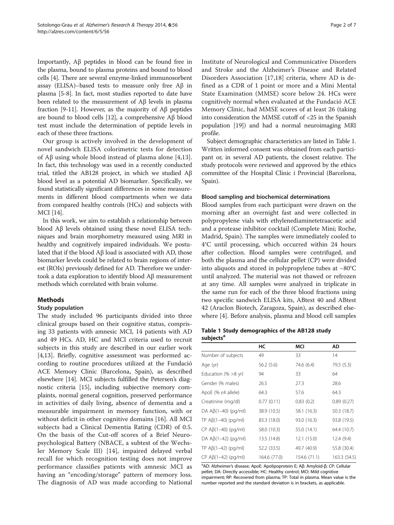Importantly, Aβ peptides in blood can be found free in the plasma, bound to plasma proteins and bound to blood cells [[4\]](#page-5-0). There are several enzyme-linked immunosorbent assay (ELISA)–based tests to measure only free Aβ in plasma [[5-8\]](#page-5-0). In fact, most studies reported to date have been related to the measurement of Aβ levels in plasma fraction [[9-](#page-5-0)[11\]](#page-6-0). However, as the majority of Aβ peptides are bound to blood cells [[12\]](#page-6-0), a comprehensive Aβ blood test must include the determination of peptide levels in each of these three fractions.

Our group is actively involved in the development of novel sandwich ELISA colorimetric tests for detection of Aβ using whole blood instead of plasma alone [[4,](#page-5-0)[13](#page-6-0)]. In fact, this technology was used in a recently conducted trial, titled the AB128 project, in which we studied Aβ blood level as a potential AD biomarker. Specifically, we found statistically significant differences in some measurements in different blood compartments when we data from compared healthy controls (HCs) and subjects with MCI [\[14\]](#page-6-0).

In this work, we aim to establish a relationship between blood Aβ levels obtained using these novel ELISA techniques and brain morphometry measured using MRI in healthy and cognitively impaired individuals. We postulated that if the blood Aβ load is associated with AD, those biomarker levels could be related to brain regions of interest (ROIs) previously defined for AD. Therefore we undertook a data exploration to identify blood Aβ measurement methods which correlated with brain volume.

# **Methods**

# Study population

The study included 96 participants divided into three clinical groups based on their cognitive status, comprising 33 patients with amnesic MCI, 14 patients with AD and 49 HCs. AD, HC and MCI criteria used to recruit subjects in this study are described in our earlier work [[4,](#page-5-0)[13\]](#page-6-0). Briefly, cognitive assessment was performed according to routine procedures utilized at the Fundació ACE Memory Clinic (Barcelona, Spain), as described elsewhere [\[14\]](#page-6-0). MCI subjects fulfilled the Petersen's diagnostic criteria [[15](#page-6-0)], including subjective memory complaints, normal general cognition, preserved performance in activities of daily living, absence of dementia and a measurable impairment in memory function, with or without deficit in other cognitive domains [[16\]](#page-6-0). All MCI subjects had a Clinical Dementia Rating (CDR) of 0.5. On the basis of the Cut-off scores of a Brief Neuropsychological Battery (NBACE, a subtest of the Wechsler Memory Scale III) [\[14](#page-6-0)], impaired delayed verbal recall for which recognition testing does not improve performance classifies patients with amnesic MCI as having an "encoding/storage" pattern of memory loss. The diagnosis of AD was made according to National Institute of Neurological and Communicative Disorders and Stroke and the Alzheimer's Disease and Related Disorders Association [[17,18](#page-6-0)] criteria, where AD is defined as a CDR of 1 point or more and a Mini Mental State Examination (MMSE) score below 24. HCs were cognitively normal when evaluated at the Fundació ACE Memory Clinic, had MMSE scores of at least 26 (taking into consideration the MMSE cutoff of <25 in the Spanish population [\[19\]](#page-6-0)) and had a normal neuroimaging MRI profile.

Subject demographic characteristics are listed in Table 1. Written informed consent was obtained from each participant or, in several AD patients, the closest relative. The study protocols were reviewed and approved by the ethics committee of the Hospital Clinic i Provincial (Barcelona, Spain).

# Blood sampling and biochemical determinations

Blood samples from each participant were drawn on the morning after an overnight fast and were collected in polypropylene vials with ethylenediaminetetraacetic acid and a protease inhibitor cocktail (Complete Mini; Roche, Madrid, Spain). The samples were immediately cooled to 4°C until processing, which occurred within 24 hours after collection. Blood samples were centrifuged, and both the plasma and the cellular pellet (CP) were divided into aliquots and stored in polypropylene tubes at −80°C until analyzed. The material was not thawed or refrozen at any time. All samples were analyzed in triplicate in the same run for each of the three blood fractions using two specific sandwich ELISA kits, ABtest 40 and ABtest 42 (Araclon Biotech, Zaragoza, Spain), as described elsewhere [\[4](#page-5-0)]. Before analysis, plasma and blood cell samples

#### Table 1 Study demographics of the AB128 study subjects<sup>a</sup>

|                               | HC           | MCI          | AD           |
|-------------------------------|--------------|--------------|--------------|
| Number of subjects            | 49           | 33           | 14           |
| Age (yr)                      | 56.2 (5.6)   | 74.6 (6.4)   | 79.5 (5.3)   |
| Education (% $>8$ yr)         | 94           | 33           | 64           |
| Gender (% males)              | 26.5         | 27.3         | 28.6         |
| ApoE (% ε4 allele)            | 64.3         | 57.6         | 64.3         |
| Creatinine (mg/dl)            | 0.77(0.11)   | 0.83(0.2)    | 0.89(0.27)   |
| DA $A\beta(1-40)$ (pg/ml)     | 38.9 (10.5)  | 58.1 (16.3)  | 50.3 (18.7)  |
| TP $A\beta(1-40)$ (pg/ml)     | 83.3 (18.0)  | 93.0 (16.3)  | 93.8 (19.5)  |
| $CP$ A $\beta$ (1-40) (pg/ml) | 58.0 (10.3)  | 55.0 (14.1)  | 64.4 (10.7)  |
| DA $A\beta(1-42)$ (pg/ml)     | 13.5 (14.8)  | 12.1(15.0)   | 12.4(9.4)    |
| TP $A\beta(1-42)$ (pg/ml)     | 52.2 (33.5)  | 49.7 (40.9)  | 55.8 (30.4)  |
| $CP$ A $\beta$ (1-42) (pg/ml) | 164.6 (77.0) | 154.6 (71.1) | 163.3 (54.5) |

<sup>a</sup>AD: Alzheimer's disease; ApoE: Apolipoprotein E; Aβ: Amyloid-β; CP: Cellular pellet; DA: Directly accessible; HC: Healthy control; MCI: Mild cognitive impairment; RP: Recovered from plasma; TP: Total in plasma. Mean value is the number reported and the standard deviation is in brackets, as applicable.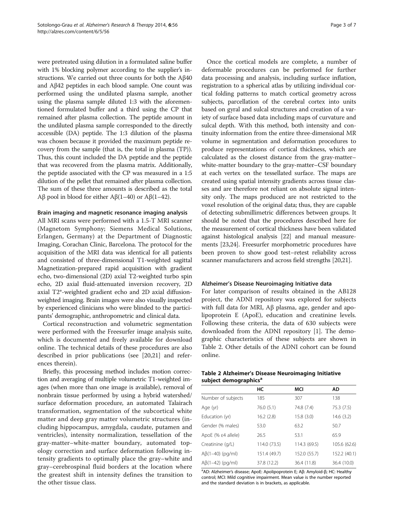were pretreated using dilution in a formulated saline buffer with 1% blocking polymer according to the supplier's instructions. We carried out three counts for both the Aβ40 and Aβ42 peptides in each blood sample. One count was performed using the undiluted plasma sample, another using the plasma sample diluted 1:3 with the aforementioned formulated buffer and a third using the CP that remained after plasma collection. The peptide amount in the undiluted plasma sample corresponded to the directly accessible (DA) peptide. The 1:3 dilution of the plasma was chosen because it provided the maximum peptide recovery from the sample (that is, the total in plasma (TP)). Thus, this count included the DA peptide and the peptide that was recovered from the plasma matrix. Additionally, the peptide associated with the CP was measured in a 1:5 dilution of the pellet that remained after plasma collection. The sum of these three amounts is described as the total Aβ pool in blood for either Aβ(1–40) or Aβ(1–42).

#### Brain imaging and magnetic resonance imaging analysis

All MRI scans were performed with a 1.5-T MRI scanner (Magnetom Symphony; Siemens Medical Solutions, Erlangen, Germany) at the Department of Diagnostic Imaging, Corachan Clinic, Barcelona. The protocol for the acquisition of the MRI data was identical for all patients and consisted of three-dimensional T1-weighted sagittal Magnetization-prepared rapid acquisition with gradient echo, two-dimensional (2D) axial T2-weighted turbo spin echo, 2D axial fluid-attenuated inversion recovery, 2D axial T2\*-weighted gradient echo and 2D axial diffusionweighted imaging. Brain images were also visually inspected by experienced clinicians who were blinded to the participants' demographic, anthropometric and clinical data.

Cortical reconstruction and volumetric segmentation were performed with the Freesurfer image analysis suite, which is documented and freely available for download online. The technical details of these procedures are also described in prior publications (see [[20,21\]](#page-6-0) and references therein).

Briefly, this processing method includes motion correction and averaging of multiple volumetric T1-weighted images (when more than one image is available), removal of nonbrain tissue performed by using a hybrid watershed/ surface deformation procedure, an automated Talairach transformation, segmentation of the subcortical white matter and deep gray matter volumetric structures (including hippocampus, amygdala, caudate, putamen and ventricles), intensity normalization, tessellation of the gray-matter–white-matter boundary, automated topology correction and surface deformation following intensity gradients to optimally place the gray–white and gray–cerebrospinal fluid borders at the location where the greatest shift in intensity defines the transition to the other tissue class.

Once the cortical models are complete, a number of deformable procedures can be performed for further data processing and analysis, including surface inflation, registration to a spherical atlas by utilizing individual cortical folding patterns to match cortical geometry across subjects, parcellation of the cerebral cortex into units based on gyral and sulcal structures and creation of a variety of surface based data including maps of curvature and sulcal depth. With this method, both intensity and continuity information from the entire three-dimensional MR volume in segmentation and deformation procedures to produce representations of cortical thickness, which are calculated as the closest distance from the gray-matter– white-matter boundary to the gray-matter–CSF boundary at each vertex on the tessellated surface. The maps are created using spatial intensity gradients across tissue classes and are therefore not reliant on absolute signal intensity only. The maps produced are not restricted to the voxel resolution of the original data; thus, they are capable of detecting submillimetric differences between groups. It should be noted that the procedures described here for the measurement of cortical thickness have been validated against histological analysis [[22](#page-6-0)] and manual measurements [\[23,24\]](#page-6-0). Freesurfer morphometric procedures have been proven to show good test–retest reliability across scanner manufacturers and across field strengths [[20,21\]](#page-6-0).

#### Alzheimer's Disease Neuroimaging Initiative data

For later comparison of results obtained in the AB128 project, the ADNI repository was explored for subjects with full data for MRI, Aβ plasma, age, gender and apolipoprotein E (ApoE), education and creatinine levels. Following these criteria, the data of 630 subjects were downloaded from the ADNI repository [\[1](#page-5-0)]. The demographic characteristics of these subjects are shown in Table 2. Other details of the ADNI cohort can be found online.

# Table 2 Alzheimer's Disease Neuroimaging Initiative subject demographics<sup>a</sup>

| HС           | MCI          | AD           |
|--------------|--------------|--------------|
| 185          | 307          | 138          |
| 76.0(5.1)    | 74.8 (7.4)   | 75.3 (7.5)   |
| 16.2(2.8)    | 15.8(3.0)    | 14.6(3.2)    |
| 53.0         | 63.2         | 50.7         |
| 26.5         | 53.1         | 65.9         |
| 114.0 (73.5) | 114.3 (69.5) | 105.6 (62.6) |
| 151.4 (49.7) | 152.0 (55.7) | 152.2 (40.1) |
| 37.8 (12.2)  | 36.4 (11.8)  | 36.4 (10.0)  |
|              |              |              |

<sup>a</sup>AD: Alzheimer's disease; ApoE: Apolipoprotein E; Aβ: Amyloid-β; HC: Healthy control; MCI: Mild cognitive impairment. Mean value is the number reported and the standard deviation is in brackets, as applicable.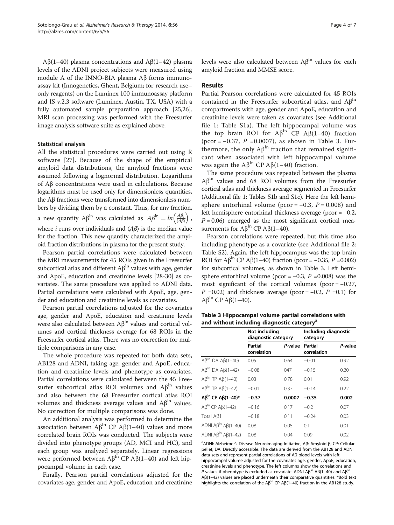<span id="page-3-0"></span>Aβ(1–40) plasma concentrations and Aβ(1–42) plasma levels of the ADNI project subjects were measured using module A of the INNO-BIA plasma Aβ forms immunoassay kit (Innogenetics, Ghent, Belgium; for research use– only reagents) on the Luminex 100 immunoassay platform and IS v.2.3 software (Luminex, Austin, TX, USA) with a fully automated sample preparation approach [\[25,26](#page-6-0)]. MRI scan processing was performed with the Freesurfer image analysis software suite as explained above.

#### Statistical analysis

All the statistical procedures were carried out using R software [[27\]](#page-6-0). Because of the shape of the empirical amyloid data distributions, the amyloid fractions were assumed following a lognormal distribution. Logarithms of Aβ concentrations were used in calculations. Because logarithms must be used only for dimensionless quantities, the Aβ fractions were transformed into dimensionless numbers by dividing them by a constant. Thus, for any fraction, a new quantity  $A\beta^{\text{ln}}$  was calculated as  $A\beta^{\text{ln}} = ln\left(\frac{A\beta_i}{\langle A\beta \rangle}\right)$ , where *i* runs over individuals and  $\langle A\beta \rangle$  is the median value for the fraction. This new quantity characterized the amyloid fraction distributions in plasma for the present study.

Pearson partial correlations were calculated between the MRI measurements for 45 ROIs given in the Freesurfer subcortical atlas and different  $A\beta^{ln}$  values with age, gender and ApoE, education and creatinine levels [\[28-30](#page-6-0)] as covariates. The same procedure was applied to ADNI data. Partial correlations were calculated with ApoE, age, gender and education and creatinine levels as covariates.

Pearson partial correlations adjusted for the covariates age, gender and ApoE, education and creatinine levels were also calculated between  $\mathbf{A}\mathbf{\beta}^{\ln}$  values and cortical volumes and cortical thickness average for 68 ROIs in the Freesurfer cortical atlas. There was no correction for multiple comparisons in any case.

The whole procedure was repeated for both data sets, AB128 and ADNI, taking age, gender and ApoE, education and creatinine levels and phenotype as covariates. Partial correlations were calculated between the 45 Freesurfer subcortical atlas ROI volumes and  $A\beta$ <sup>ln</sup> values and also between the 68 Freesurfer cortical atlas ROI volumes and thickness average values and  $A\beta^{ln}$  values. No correction for multiple comparisons was done.

An additional analysis was performed to determine the association between  $A\beta$ <sup>In</sup> CP  $A\beta$ (1–40) values and more correlated brain ROIs was conducted. The subjects were divided into phenotype groups (AD, MCI and HC), and each group was analyzed separately. Linear regressions were performed between  $A\beta$ <sup>ln</sup> CP  $A\beta$ (1–40) and left hippocampal volume in each case.

Finally, Pearson partial correlations adjusted for the covariates age, gender and ApoE, education and creatinine levels were also calculated between  $\mathbf{A}\beta^{\text{ln}}$  values for each amyloid fraction and MMSE score.

# Results

Partial Pearson correlations were calculated for 45 ROIs contained in the Freesurfer subcortical atlas, and  $AB<sup>ln</sup>$ compartments with age, gender and ApoE, education and creatinine levels were taken as covariates (see Additional file [1:](#page-5-0) Table S1a). The left hippocampal volume was the top brain ROI for  $A\beta^{ln}$  CP  $A\beta(1-40)$  fraction  $(pcor = -0.37, P = 0.0007)$ , as shown in Table 3. Furthermore, the only  $A\beta^{ln}$  fraction that remained significant when associated with left hippocampal volume was again the  $A\beta^{ln}$  CP  $A\beta(1-40)$  fraction.

The same procedure was repeated between the plasma  $A\beta$ <sup>ln</sup> values and 68 ROI volumes from the Freesurfer cortical atlas and thickness average segmented in Freesurfer (Additional file [1:](#page-5-0) Tables S1b and S1c). Here the left hemisphere entorhinal volume (pcor =  $-0.3$ ,  $P = 0.008$ ) and left hemisphere entorhinal thickness average (pcor = −0.2,  $P = 0.06$ ) emerged as the most significant cortical measurements for  $\mathbf{A}\mathbf{B}^{\ln}$  CP  $\mathbf{A}\mathbf{B}(1-40)$ .

Pearson correlations were repeated, but this time also including phenotype as a covariate (see Additional file [2](#page-5-0): Table S2). Again, the left hippocampus was the top brain ROI for A $\beta$ <sup>ln</sup> CP A $\beta$ (1–40) fraction (pcor = -0.35, P =0.002) for subcortical volumes, as shown in Table 3. Left hemisphere entorhinal volume (pcor =  $-0.3$ ,  $P = 0.008$ ) was the most significant of the cortical volumes ( $pcor = -0.27$ ,  $P = 0.02$ ) and thickness average (pcor = -0.2, P = 0.1) for Aβ<sup>ln</sup> CP Aβ(1-40).

Table 3 Hippocampal volume partial correlations with and without including diagnostic category<sup>a</sup>

|                                                  | Not including<br>diagnostic category |         | Including diagnostic<br>category |         |
|--------------------------------------------------|--------------------------------------|---------|----------------------------------|---------|
|                                                  | Partial<br>correlation               | P-value | Partial<br>correlation           | P-value |
| $AB^{ln}$ DA $AB(1-40)$                          | 0.05                                 | 0.64    | $-0.01$                          | 0.92    |
| $AB^{ln}$ DA $AB(1-42)$                          | $-0.08$                              | 047     | $-0.15$                          | 0.20    |
| $AB^{In}$ TP $AB(1-40)$                          | 0.03                                 | 0.78    | 0.01                             | 0.92    |
| $AB^{In}$ TP $AB(1-42)$                          | $-0.01$                              | 0.37    | $-0.14$                          | 0.22    |
| $AB^{\ln}$ CP A <sub>B</sub> (1-40) <sup>*</sup> | $-0.37$                              | 0.0007  | $-0.35$                          | 0.002   |
| $AB^{ln}CPAB(1-42)$                              | $-0.16$                              | 0.17    | $-0.2$                           | 0.07    |
| Total A <sub>B1</sub>                            | $-0.18$                              | 0.11    | $-0.24$                          | 0.03    |
| ADNI $AB^{ln} AB(1-40)$                          | 0.08                                 | 0.05    | 0.1                              | 0.01    |
| ADNI $AB^{ln} AB(1-42)$                          | 0.08                                 | 0.04    | 0.09                             | 0.02    |

<sup>a</sup>ADNI: Alzheimer's Disease Neuroimaging Initiative; Aβ: Amyloid-β; CP: Cellular pellet; DA: Directly accessible. The data are derived from the AB128 and ADNI data sets and represent partial correlations of Aβ blood levels with left hippocampal volume adjusted for the covariates age, gender, ApoE, education, creatinine levels and phenotype. The left columns show the correlations and P-values if phenotype is excluded as covariate. ADNI A $\beta^{ln}$  A $\beta$ (1–40) and A $\beta^{ln}$ Aβ(1–42) values are placed underneath their comparative quantities. \*Bold text highlights the correlation of the A $\beta$ <sup>In</sup> CP A $\beta$ (1–40) fraction in the AB128 study.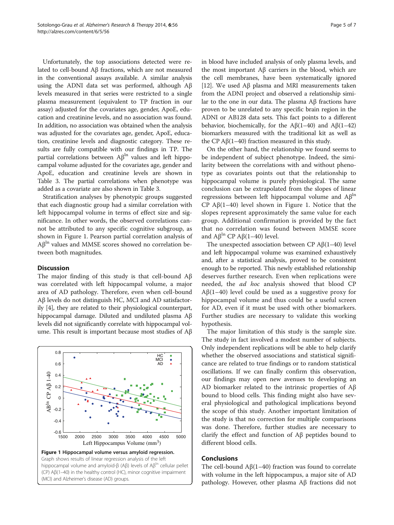Unfortunately, the top associations detected were related to cell-bound Aβ fractions, which are not measured in the conventional assays available. A similar analysis using the ADNI data set was performed, although Aβ levels measured in that series were restricted to a single plasma measurement (equivalent to TP fraction in our assay) adjusted for the covariates age, gender, ApoE, education and creatinine levels, and no association was found. In addition, no association was obtained when the analysis was adjusted for the covariates age, gender, ApoE, education, creatinine levels and diagnostic category. These results are fully compatible with our findings in TP. The partial correlations between  $A\beta^{ln}$  values and left hippocampal volume adjusted for the covariates age, gender and ApoE, education and creatinine levels are shown in Table [3.](#page-3-0) The partial correlations when phenotype was added as a covariate are also shown in Table [3.](#page-3-0)

Stratification analyses by phenotypic groups suggested that each diagnostic group had a similar correlation with left hippocampal volume in terms of effect size and significance. In other words, the observed correlations cannot be attributed to any specific cognitive subgroup, as shown in Figure 1. Pearson partial correlation analysis of  $A\beta$ <sup>In</sup> values and MMSE scores showed no correlation between both magnitudes.

# **Discussion**

The major finding of this study is that cell-bound  $A\beta$ was correlated with left hippocampal volume, a major area of AD pathology. Therefore, even when cell-bound Aβ levels do not distinguish HC, MCI and AD satisfactorily [[4](#page-5-0)], they are related to their physiological counterpart, hippocampal damage. Diluted and undiluted plasma Aβ levels did not significantly correlate with hippocampal volume. This result is important because most studies of  $Aβ$ 



in blood have included analysis of only plasma levels, and the most important Aβ carriers in the blood, which are the cell membranes, have been systematically ignored [[12](#page-6-0)]. We used Aβ plasma and MRI measurements taken from the ADNI project and observed a relationship similar to the one in our data. The plasma Aβ fractions have proven to be unrelated to any specific brain region in the ADNI or AB128 data sets. This fact points to a different behavior, biochemically, for the  $A\beta(1-40)$  and  $A\beta(1-42)$ biomarkers measured with the traditional kit as well as the CP  $A\beta(1-40)$  fraction measured in this study.

On the other hand, the relationship we found seems to be independent of subject phenotype. Indeed, the similarity between the correlations with and without phenotype as covariates points out that the relationship to hippocampal volume is purely physiological. The same conclusion can be extrapolated from the slopes of linear regressions between left hippocampal volume and  $A\beta^{\ln}$ CP  $\mathsf{A}\beta(1-40)$  level shown in Figure 1. Notice that the slopes represent approximately the same value for each group. Additional confirmation is provided by the fact that no correlation was found between MMSE score and  $A\beta^{ln}$  CP  $A\beta(1-40)$  level.

The unexpected association between CP  $\text{A}\beta(1-40)$  level and left hippocampal volume was examined exhaustively and, after a statistical analysis, proved to be consistent enough to be reported. This newly established relationship deserves further research. Even when replications were needed, the ad hoc analysis showed that blood CP  $A\beta(1-40)$  level could be used as a suggestive proxy for hippocampal volume and thus could be a useful screen for AD, even if it must be used with other biomarkers. Further studies are necessary to validate this working hypothesis.

The major limitation of this study is the sample size. The study in fact involved a modest number of subjects. Only independent replications will be able to help clarify whether the observed associations and statistical significance are related to true findings or to random statistical oscillations. If we can finally confirm this observation, our findings may open new avenues to developing an AD biomarker related to the intrinsic properties of  $A\beta$ bound to blood cells. This finding might also have several physiological and pathological implications beyond the scope of this study. Another important limitation of the study is that no correction for multiple comparisons was done. Therefore, further studies are necessary to clarify the effect and function of Aβ peptides bound to different blood cells.

# Conclusions

The cell-bound  $A\beta(1-40)$  fraction was found to correlate with volume in the left hippocampus, a major site of AD pathology. However, other plasma Aβ fractions did not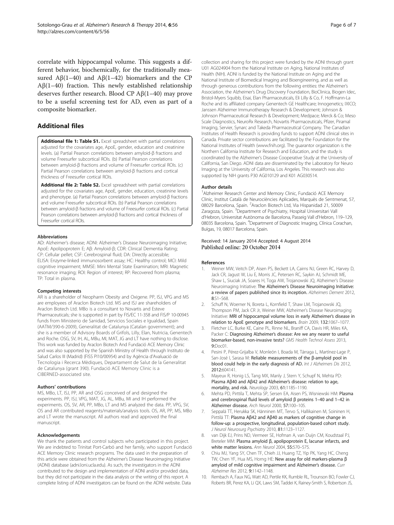<span id="page-5-0"></span>correlate with hippocampal volume. This suggests a different behavior, biochemically, for the traditionally measured  $A\beta(1-40)$  and  $A\beta(1-42)$  biomarkers and the CP Aβ(1–40) fraction. This newly established relationship deserves further research. Blood CP Aβ(1–40) may prove to be a useful screening test for AD, even as part of a composite biomarker.

# Additional files

[Additional file 1: Table S1.](http://alzres.com/content/supplementary/s13195-014-0056-3-s1.xls) Excel spreadsheet with partial correlations adjusted for the covariates age, ApoE, gender, education and creatinine levels. (a) Partial Pearson correlations between amyloid-β fractions and volume Freesurfer subcortical ROIs. (b) Partial Pearson correlations between amyloid-β fractions and volume of Freesurfer cortical ROIs. (c) Partial Pearson correlations between amyloid-β fractions and cortical thickness of Freesurfer cortical ROIs.

[Additional file 2: Table S2.](http://alzres.com/content/supplementary/s13195-014-0056-3-s2.xls) Excel spreadsheet with partial correlations adjusted for the covariates age, ApoE, gender, education, creatinine levels and phenotype. (a) Partial Pearson correlations between amyloid-β fractions and volume Freesurfer subcortical ROIs. (b) Partial Pearson correlations between amyloid-β fractions and volume of Freesurfer cortical ROIs. (c) Partial Pearson correlations between amyloid-β fractions and cortical thickness of Freesurfer cortical ROIs.

#### Abbreviations

AD: Alzheimer's disease; ADNI: Alzheimer's Disease Neuroimaging Initiative; ApoE: Apolipoprotein E; Aβ: Amyloid-β; CDR: Clinical Dementia Rating; CP: Cellular pellet; CSF: Cerebrospinal fluid; DA: Directly accessible; ELISA: Enzyme-linked immunosorbent assay; HC: Healthy control; MCI: Mild cognitive impairment; MMSE: Mini Mental State Examination; MRI: Magnetic resonance imaging; ROI: Region of interest; RP: Recovered from plasma; TP: Total in plasma.

#### Competing interests

AR is a shareholder of Neopharm Obesity and Oxigene. PP, ISJ, VPG and MS are employees of Araclon Biotech Ltd. MS and ISJ are shareholders of Araclon Biotech Ltd. MBo is a consultant to Novartis and Esteve Pharmaceuticals; she is supported in part by FIS/EC 11-358 and FIS/P 10-00945 funds from Ministerio de Sanidad, Servicios Sociales e Igualdad, Spain (AATM/390-6-2009), Generalitat de Catalunya (Catalan government); and she is a member of Advisory Boards of Grifols, Lilly, Elan, Nutricia, Genentech and Roche. OSG, SV, IH, AL, MBu, MI, MAT, JG and LT have nothing to disclose. This work was funded by Araclon Biotech And Fundació ACE Memory Clinic and was also supported by the Spanish Ministry of Health through Instituto de Salud Carlos III (Madrid) (FISS PI10/00954) and by Agència d'Avaluació de Tecnologia i Recerca Mèdiques, Departament de Salut de la Generalitat de Catalunya (grant 390). Fundació ACE Memory Clinic is a CIBERNED-associated site.

#### Authors' contributions

MS, MBo, LT, ISJ, PP, AR and OSG conceived of and designed the experiments. PP, ISJ, VPG, MAT, JG, AL, MBu, MI and IH performed the experiments. OS, SV, AR, PP, MBo, LT and MS analyzed the data. PP, VPG, SV, OS and AR contributed reagents/materials/analysis tools. OS, AR, PP, MS, MBo and LT wrote the manuscript. All authors read and approved the final manuscript.

#### Acknowledgements

We thank the patients and control subjects who participated in this project. We are indebted to Trinitat Port-Carbó and her family, who support Fundació ACE Memory Clinic research programs. The data used in the preparation of this article were obtained from the Alzheimer's Disease Neuroimaging Initiative (ADNI) database (adni.loni.ucla.edu). As such, the investigators in the ADNI contributed to the design and implementation of ADNI and/or provided data, but they did not participate in the data analysis or the writing of this report. A complete listing of ADNI investigators can be found on the ADNI website. Data

collection and sharing for this project were funded by the ADNI through grant U01 AG024904 from the National Institute on Aging, National Institutes of Health (NIH). ADNI is funded by the National Institute on Aging and the National Institute of Biomedical Imaging and Bioengineering, and as well as through generous contributions from the following entities: the Alzheimer's Association, the Alzheimer's Drug Discovery Foundation, BioClinica, Biogen Idec, Bristol-Myers Squibb, Eisai, Elan Pharmaceuticals, Eli Lilly & Co, F. Hoffmann-La Roche and its affiliated company Genentech GE Healthcare; Innogenetics; IXICO; Janssen Alzheimer Immunotherapy Research & Development; Johnson & Johnson Pharmaceutical Research & Development; Medpace; Merck & Co; Meso Scale Diagnostics, NeuroRx Research, Novartis Pharmaceuticals, Pfizer, Piramal Imaging, Servier, Synarc and Takeda Pharmaceutical Company. The Canadian Institutes of Health Research is providing funds to support ADNI clinical sites in Canada. Private sector contributions are facilitated by the Foundation for the National Institutes of Health ([www.fnih.org\)](http://www.fnih.org). The guarantor organization is the Northern California Institute for Research and Education, and the study is coordinated by the Alzheimer's Disease Cooperative Study at the University of California, San Diego. ADNI data are disseminated by the Laboratory for Neuro Imaging at the University of California, Los Angeles. This research was also supported by NIH grants P30 AG010129 and K01 AG030514.

#### Author details

1 Alzheimer Research Center and Memory Clinic, Fundació ACE Memory Clinic, Institut Català de Neurociències Aplicades, Marquès de Sentmenat, 57, 08029 Barcelona, Spain. <sup>2</sup> Araclon Biotech Ltd, Via Hispanidad 21, 50009 Zaragoza, Spain. <sup>3</sup>Department of Psychiatry, Hospital Universitari Vall d'Hebron, Universitat Autònoma de Barcelona, Passeig Vall d'Hebron, 119–129, 08035 Barcelona, Spain. <sup>4</sup>Department of Diagnostic Imaging, Clínica Corachan, Buïgas, 19, 08017 Barcelona, Spain.

#### Received: 14 January 2014 Accepted: 4 August 2014 Published online: 20 October 2014

#### References

- 1. Weiner MW, Veitch DP, Aisen PS, Beckett LA, Cairns NJ, Green RC, Harvey D, Jack CR, Jagust W, Liu E, Morris JC, Petersen RC, Saykin AJ, Schmidt ME, Shaw L, Siuciak JA, Soares H, Toga AW, Trojanowski JQ, Alzheimer's Disease Neuroimaging Initiative: The Alzheimer's Disease Neuroimaging Initiative: a review of papers published since its inception. Alzheimers Dement 2012, 8:S1–S68.
- 2. Schuff N, Woerner N, Boreta L, Kornfield T, Shaw LM, Trojanowski JQ, Thompson PM, Jack CR Jr, Weiner MW, Alzheimer's Disease Neuroimaging Initiative: MRI of hippocampal volume loss in early Alzheimer's disease in relation to ApoE genotype and biomarkers. Brain 2009, 132:1067–1077.
- 3. Fletcher LC, Burke KE, Caine PL, Rinne NL, Braniff CA, Davis HR, Miles KA, Packer C: Diagnosing Alzheimer's disease: Are we any nearer to useful biomarker-based, non-invasive tests? GMS Health Technol Assess 2013, 9:Doc01.
- 4. Pesini P, Pérez-Grijalba V, Monleón I, Boada M, Tárraga L, Martínez-Lage P, San-José I, Sarasa M: Reliable measurements of the β-amyloid pool in blood could help in the early diagnosis of AD. Int J Alzheimers Dis 2012, 2012:604141.
- 5. Mayeux R, Honig LS, Tang MX, Manly J, Stern Y, Schupf N, Mehta PD: Plasma Aβ40 and Aβ42 and Alzheimer's disease: relation to age, mortality, and risk. Neurology 2003, 61:1185–1190.
- 6. Mehta PD, Pirttila T, Mehta SP, Sersen EA, Aisen PS, Wisniewski HM: Plasma and cerebrospinal fluid levels of amyloid β proteins 1–40 and 1–42 in Alzheimer disease. Arch Neurol 2000, 57:100–105.
- 7. Seppalä TT, Herukka SK, Hänninen MT, Tervo S, Hallikainen M, Soininen H, Pirttilä TT: Plasma Aβ42 and Aβ40 as markers of cognitive change in follow-up: a prospective, longitudinal, population-based cohort study. J Neurol Neurosurg Psychiatry 2010, 81:1123–1127.
- 8. van Dijk EJ, Prins ND, Vermeer SE, Hofman A, van Duijn CM, Koudstaal PJ, Breteler MM: Plasma amyloid β, apolipoprotein E, lacunar infarcts, and white matter lesions. Ann Neurol 2004, 55:570–575.
- Chiu MJ, Yang SY, Chen TF, Chieh JJ, Huang TZ, Yip PK, Yang HC, Cheng TW, Chen YF, Hua MS, Horng HE: New assay for old markers-plasma β amyloid of mild cognitive impairment and Alzheimer's disease. Curr Alzheimer Res 2012, 9:1142–1148.
- 10. Rembach A, Faux NG, Watt AD, Pertile KK, Rumble RL, Trounson BO, Fowler CJ, Roberts BR, Perez KA, Li QX, Laws SM, Taddei K, Rainey-Smith S, Robertson JS,